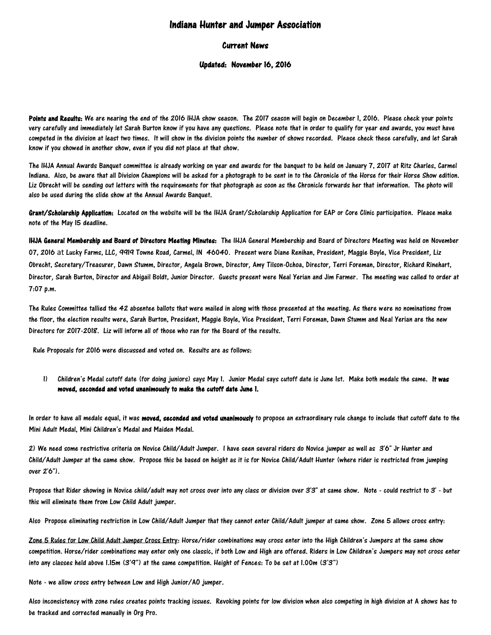# Indiana Hunter and Jumper Association

# Current News

## Updated: November 16, 2016

Points and Results: We are nearing the end of the 2016 IHJA show season. The 2017 season will begin on December 1, 2016. Please check your points very carefully and immediately let Sarah Burton know if you have any questions. Please note that in order to qualify for year end awards, you must have competed in the division at least two times. It will show in the division points the number of shows recorded. Please check these carefully, and let Sarah know if you showed in another show, even if you did not place at that show.

The IHJA Annual Awards Banquet committee is already working on year end awards for the banquet to be held on January 7, 2017 at Ritz Charles, Carmel Indiana. Also, be aware that all Division Champions will be asked for a photograph to be sent in to the Chronicle of the Horse for their Horse Show edition. Liz Obrecht will be sending out letters with the requirements for that photograph as soon as the Chronicle forwards her that information. The photo will also be used during the slide show at the Annual Awards Banquet.

Grant/Scholarship Application: Located on the website will be the IHJA Grant/Scholarship Application for EAP or Core Clinic participation. Please make note of the May 15 deadline.

IHJA General Membership and Board of Directors Meeting Minutes: The IHJA General Membership and Board of Directors Meeting was held on November 07, 2016 at Lucky Farms, LLC, 9919 Towne Road, Carmel, IN 46040. Present were Diane Renihan, President, Maggie Boyle, Vice President, Liz Obrecht, Secretary/Treasurer, Dawn Stumm, Director, Angela Brown, Director, Amy Tilson-Ochoa, Director, Terri Foreman, Director, Richard Rinehart, Director, Sarah Burton, Director and Abigail Boldt, Junior Director. Guests present were Neal Yerian and Jim Farmer. The meeting was called to order at 7:07 p.m.

The Rules Committee tallied the 42 absentee ballots that were mailed in along with those presented at the meeting. As there were no nominations from the floor, the election results were, Sarah Burton, President, Maggie Boyle, Vice President, Terri Foreman, Dawn Stumm and Neal Yerian are the new Directors for 2017-2018. Liz will inform all of those who ran for the Board of the results.

Rule Proposals for 2016 were discussed and voted on. Results are as follows:

1) Children's Medal cutoff date (for doing juniors) says May 1. Junior Medal says cutoff date is June 1st. Make both medals the same. It was moved, seconded and voted unanimously to make the cutoff date June 1.

In order to have all medals equal, it was moved, seconded and voted unanimously to propose an extraordinary rule change to include that cutoff date to the Mini Adult Medal, Mini Children's Medal and Maiden Medal.

2) We need some restrictive criteria on Novice Child/Adult Jumper. I have seen several riders do Novice jumper as well as 3'6" Jr Hunter and Child/Adult Jumper at the same show. Propose this be based on height as it is for Novice Child/Adult Hunter (where rider is restricted from jumping over 2'6").

Propose that Rider showing in Novice child/adult may not cross over into any class or division over 3'3" at same show. Note - could restrict to 3' - but this will eliminate them from Low Child Adult jumper.

Also Propose eliminating restriction in Low Child/Adult Jumper that they cannot enter Child/Adult jumper at same show. Zone 5 allows cross entry:

Zone 5 Rules for Low Child Adult Jumper Cross Entry: Horse/rider combinations may cross enter into the High Children's Jumpers at the same show competition. Horse/rider combinations may enter only one classic, if both Low and High are offered. Riders in Low Children's Jumpers may not cross enter into any classes held above 1.15m (3'9") at the same competition. Height of Fences: To be set at 1.00m (3'3")

Note - we allow cross entry between Low and High Junior/AO jumper.

Also inconsistency with zone rules creates points tracking issues. Revoking points for low division when also competing in high division at A shows has to be tracked and corrected manually in Org Pro.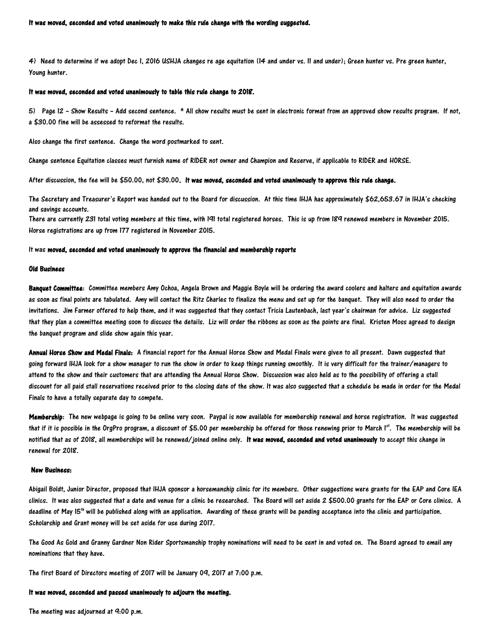#### It was moved, seconded and voted unanimously to make this rule change with the wording suggested.

4) Need to determine if we adopt Dec 1, 2016 USHJA changes re age equitation (14 and under vs. 11 and under); Green hunter vs. Pre green hunter, Young hunter.

## It was moved, seconded and voted unanimously to table this rule change to 2018.

5) Page 12 – Show Results – Add second sentence. \* All show results must be sent in electronic format from an approved show results program. If not, a \$30.00 fine will be assessed to reformat the results.

Also change the first sentence. Change the word postmarked to sent.

Change sentence Equitation classes must furnish name of RIDER not owner and Champion and Reserve, if applicable to RIDER and HORSE.

After discussion, the fee will be \$50.00, not \$30.00. It was moved, seconded and voted unanimously to approve this rule change.

The Secretary and Treasurer's Report was handed out to the Board for discussion. At this time IHJA has approximately \$62,653.67 in IHJA's checking and savings accounts.

There are currently 231 total voting members at this time, with 191 total registered horses. This is up from 189 renewed members in November 2015. Horse registrations are up from 177 registered in November 2015.

### It was moved, seconded and voted unanimously to approve the financial and membership reports

### Old Business

Banquet Committee: Committee members Amy Ochoa, Angela Brown and Maggie Boyle will be ordering the award coolers and halters and equitation awards as soon as final points are tabulated. Amy will contact the Ritz Charles to finalize the menu and set up for the banquet. They will also need to order the invitations. Jim Farmer offered to help them, and it was suggested that they contact Tricia Lautenbach, last year's chairman for advice. Liz suggested that they plan a committee meeting soon to discuss the details. Liz will order the ribbons as soon as the points are final. Kristen Moss agreed to design the banquet program and slide show again this year.

Annual Horse Show and Medal Finals: A financial report for the Annual Horse Show and Medal Finals were given to all present. Dawn suggested that going forward IHJA look for a show manager to run the show in order to keep things running smoothly. It is very difficult for the trainer/managers to attend to the show and their customers that are attending the Annual Horse Show. Discussion was also held as to the possibility of offering a stall discount for all paid stall reservations received prior to the closing date of the show. It was also suggested that a schedule be made in order for the Medal Finals to have a totally separate day to compete.

Membership: The new webpage is going to be online very soon. Paypal is now available for membership renewal and horse registration. It was suggested that if it is possible in the OrgPro program, a discount of \$5.00 per membership be offered for those renewing prior to March  $1^{st}$ . The membership will be notified that as of 2018, all memberships will be renewed/joined online only. It was moved, seconded and voted unanimously to accept this change in renewal for 2018.

#### New Business:

Abigail Boldt, Junior Director, proposed that IHJA sponsor a horsemanship clinic for its members. Other suggestions were grants for the EAP and Core IEA clinics. It was also suggested that a date and venue for a clinic be researched. The Board will set aside 2 \$500.00 grants for the EAP or Core clinics. A deadline of May 15<sup>th</sup> will be published along with an application. Awarding of these grants will be pending acceptance into the clinic and participation. Scholarship and Grant money will be set aside for use during 2017.

The Good As Gold and Granny Gardner Non Rider Sportsmanship trophy nominations will need to be sent in and voted on. The Board agreed to email any nominations that they have.

The first Board of Directors meeting of 2017 will be January 09, 2017 at 7:00 p.m.

#### It was moved, seconded and passed unanimously to adjourn the meeting.

The meeting was adjourned at 9:00 p.m.